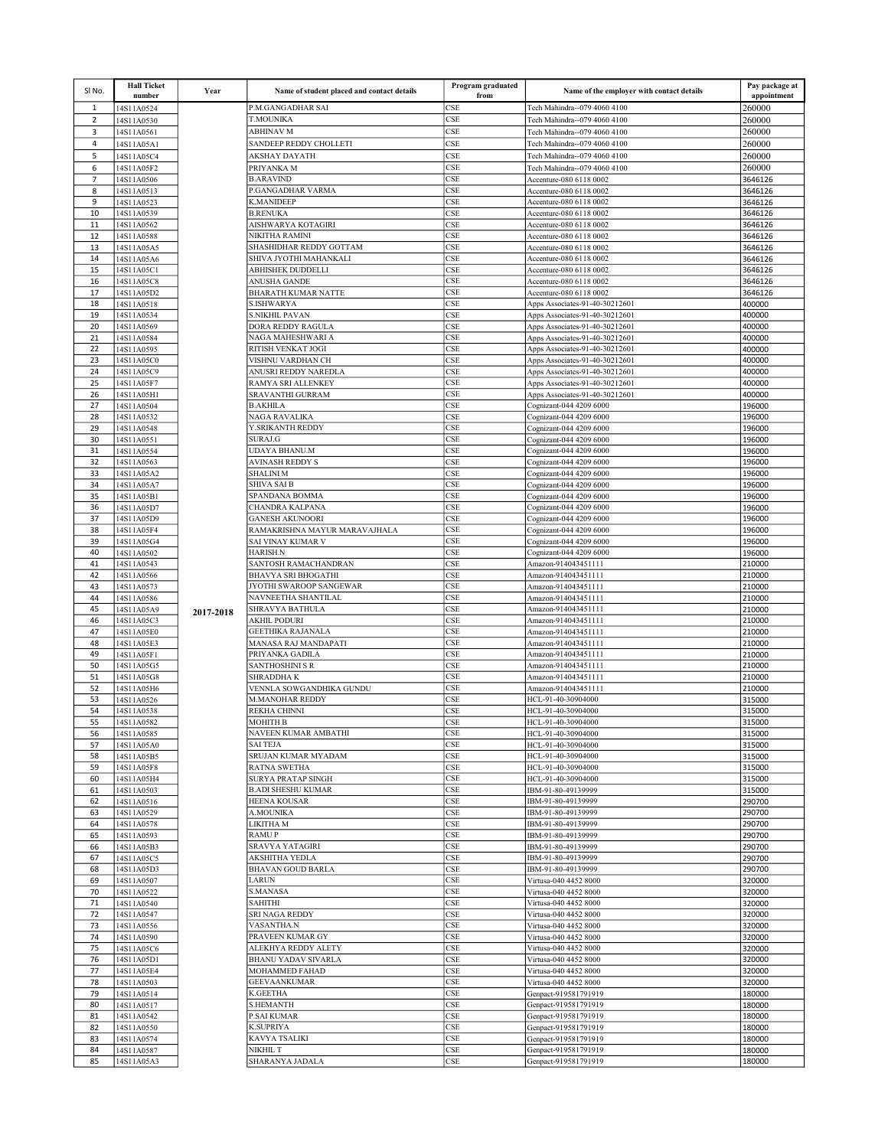| SI No.         | <b>Hall Ticket</b><br>number | Year      | Name of student placed and contact details             | Program graduated<br>from | Name of the employer with contact details                        | Pay package at<br>appointment |
|----------------|------------------------------|-----------|--------------------------------------------------------|---------------------------|------------------------------------------------------------------|-------------------------------|
| $\mathbf{1}$   | 14S11A0524                   |           | P.M.GANGADHAR SAI                                      | CSE                       | Tech Mahindra--079 4060 4100                                     | 260000                        |
| $\overline{2}$ | 14S11A0530                   |           | <b>T.MOUNIKA</b>                                       | CSE                       | Tech Mahindra--079 4060 4100                                     | 260000                        |
| 3<br>4         | 14S11A0561<br>14S11A05A1     |           | <b>ABHINAV M</b><br>SANDEEP REDDY CHOLLETI             | CSE<br>CSE                | Tech Mahindra--079 4060 4100<br>Tech Mahindra--079 4060 4100     | 260000<br>260000              |
| 5              | 14S11A05C4                   |           | AKSHAY DAYATH                                          | CSE                       | Tech Mahindra--079 4060 4100                                     | 260000                        |
| 6              | 14S11A05F2                   |           | PRIYANKA M                                             | CSE                       | Tech Mahindra--079 4060 4100                                     | 260000                        |
| $\overline{7}$ | 14S11A0506                   |           | <b>B.ARAVIND</b>                                       | CSE                       | Accenture-080 6118 0002                                          | 3646126                       |
| 8              | 14S11A0513                   |           | P.GANGADHAR VARMA                                      | CSE                       | Accenture-080 6118 0002                                          | 3646126                       |
| 9<br>10        | 14S11A0523<br>14S11A0539     |           | <b>K.MANIDEEP</b><br><b>B.RENUKA</b>                   | <b>CSE</b><br><b>CSE</b>  | Accenture-080 6118 0002                                          | 3646126<br>3646126            |
| 11             | 14S11A0562                   |           | AISHWARYA KOTAGIRI                                     | <b>CSE</b>                | Accenture-080 6118 0002<br>Accenture-080 6118 0002               | 3646126                       |
| 12             | 14S11A0588                   |           | NIKITHA RAMINI                                         | CSE                       | Accenture-080 6118 0002                                          | 3646126                       |
| 13             | 14S11A05A5                   |           | SHASHIDHAR REDDY GOTTAM                                | CSE                       | Accenture-080 6118 0002                                          | 3646126                       |
| 14             | 14S11A05A6                   |           | SHIVA JYOTHI MAHANKALI<br><b>ABHISHEK DUDDELLI</b>     | CSE<br><b>CSE</b>         | Accenture-080 6118 0002                                          | 3646126                       |
| 15<br>16       | 14S11A05C1<br>14S11A05C8     |           | <b>ANUSHA GANDE</b>                                    | CSE                       | Accenture-080 6118 0002<br>Accenture-080 6118 0002               | 3646126<br>3646126            |
| 17             | 14S11A05D2                   |           | <b>BHARATH KUMAR NATTE</b>                             | CSE                       | Accenture-080 6118 0002                                          | 3646126                       |
| 18             | 14S11A0518                   |           | <b>S.ISHWARYA</b>                                      | CSE                       | Apps Associates-91-40-30212601                                   | 400000                        |
| 19<br>20       | 14S11A0534                   |           | <b>S.NIKHIL PAVAN</b><br><b>DORA REDDY RAGULA</b>      | CSE<br>CSE                | Apps Associates-91-40-30212601                                   | 400000<br>400000              |
| 21             | 14S11A0569<br>14S11A0584     |           | NAGA MAHESHWARI A                                      | CSE                       | Apps Associates-91-40-30212601<br>Apps Associates-91-40-30212601 | 400000                        |
| 22             | 14S11A0595                   |           | RITISH VENKAT JOGI                                     | CSE                       | Apps Associates-91-40-30212601                                   | 400000                        |
| 23             | 14S11A05C0                   |           | VISHNU VARDHAN CH                                      | CSE                       | Apps Associates-91-40-30212601                                   | 400000                        |
| 24             | 14S11A05C9                   |           | ANUSRI REDDY NAREDLA                                   | <b>CSE</b><br><b>CSE</b>  | Apps Associates-91-40-30212601                                   | 400000<br>400000              |
| 25<br>26       | 14S11A05F7<br>14S11A05H1     |           | RAMYA SRI ALLENKEY<br>SRAVANTHI GURRAM                 | <b>CSE</b>                | Apps Associates-91-40-30212601<br>Apps Associates-91-40-30212601 | 400000                        |
| 27             | 14S11A0504                   |           | <b>B.AKHILA</b>                                        | CSE                       | Cognizant-044 4209 6000                                          | 196000                        |
| 28             | 14S11A0532                   |           | <b>NAGA RAVALIKA</b>                                   | CSE                       | Cognizant-044 4209 6000                                          | 196000                        |
| 29             | 14S11A0548                   |           | Y.SRIKANTH REDDY                                       | CSE                       | Cognizant-044 4209 6000                                          | 196000                        |
| 30<br>31       | 14S11A0551<br>14S11A0554     |           | SURAJ.G<br>UDAYA BHANU.M                               | <b>CSE</b><br>CSE         | Cognizant-044 4209 6000<br>Cognizant-044 4209 6000               | 196000<br>196000              |
| 32             | 14S11A0563                   |           | <b>AVINASH REDDY S</b>                                 | CSE                       | Cognizant-044 4209 6000                                          | 196000                        |
| 33             | 14S11A05A2                   |           | <b>SHALINI M</b>                                       | CSE                       | Cognizant-044 4209 6000                                          | 196000                        |
| 34             | 14S11A05A7                   |           | <b>SHIVA SAI B</b>                                     | CSE                       | Cognizant-044 4209 6000                                          | 196000                        |
| 35<br>36       | 14S11A05B1<br>14S11A05D7     |           | <b>SPANDANA BOMMA</b><br>CHANDRA KALPANA               | CSE<br>CSE                | Cognizant-044 4209 6000<br>Cognizant-044 4209 6000               | 196000<br>196000              |
| 37             | 14S11A05D9                   |           | <b>GANESH AKUNOORI</b>                                 | CSE                       | Cognizant-044 4209 6000                                          | 196000                        |
| 38             | 14S11A05F4                   |           | RAMAKRISHNA MAYUR MARAVAJHALA                          | CSE                       | Cognizant-044 4209 6000                                          | 196000                        |
| 39             | 14S11A05G4                   |           | <b>SAI VINAY KUMAR V</b>                               | CSE                       | Cognizant-044 4209 6000                                          | 196000                        |
| 40<br>41       | 14S11A0502<br>14S11A0543     |           | HARISH.N<br>SANTOSH RAMACHANDRAN                       | <b>CSE</b><br><b>CSE</b>  | Cognizant-044 4209 6000<br>Amazon-914043451111                   | 196000<br>210000              |
| 42             | 14S11A0566                   |           | <b>BHAVYA SRI BHOGATHI</b>                             | CSE                       | Amazon-914043451111                                              | 210000                        |
| 43             | 14S11A0573                   |           | JYOTHI SWAROOP SANGEWAR                                | CSE                       | Amazon-914043451111                                              | 210000                        |
| 44             | 14S11A0586                   |           | NAVNEETHA SHANTILAL                                    | <b>CSE</b>                | Amazon-914043451111                                              | 210000                        |
| 45<br>46       | 14S11A05A9<br>14S11A05C3     | 2017-2018 | <b>SHRAVYA BATHULA</b><br><b>AKHIL PODURI</b>          | <b>CSE</b><br>CSE         | Amazon-914043451111<br>Amazon-914043451111                       | 210000<br>210000              |
| 47             | 14S11A05E0                   |           | <b>GEETHIKA RAJANALA</b>                               | CSE                       | Amazon-914043451111                                              | 210000                        |
| 48             | 14S11A05E3                   |           | MANASA RAJ MANDAPATI                                   | CSE                       | Amazon-914043451111                                              | 210000                        |
| 49             | 14S11A05F1                   |           | PRIYANKA GADILA                                        | CSE                       | Amazon-914043451111                                              | 210000                        |
| 50<br>51       | 14S11A05G5<br>14S11A05G8     |           | <b>SANTHOSHINI S R</b><br><b>SHRADDHAK</b>             | <b>CSE</b><br>CSE         | Amazon-914043451111<br>Amazon-914043451111                       | 210000<br>210000              |
| 52             | 14S11A05H6                   |           | VENNLA SOWGANDHIKA GUNDU                               | CSE                       | Amazon-914043451111                                              | 210000                        |
| 53             | 14S11A0526                   |           | M.MANOHAR REDDY                                        | CSE                       | HCL-91-40-30904000                                               | 315000                        |
| 54             | 14S11A0538                   |           | <b>REKHA CHINNI</b>                                    | CSE                       | HCL-91-40-30904000                                               | 315000                        |
| 55<br>56       | 14S11A0582<br>14S11A0585     |           | <b>MOHITH B</b><br>NAVEEN KUMAR AMBATHI                | <b>CSE</b><br>CSE         | HCL-91-40-30904000<br>HCL-91-40-30904000                         | 315000<br>315000              |
| 57             | 14S11A05A0                   |           | <b>SAI TEJA</b>                                        | CSE                       | HCL-91-40-30904000                                               | 315000                        |
| 58             | 14S11A05B5                   |           | SRUJAN KUMAR MYADAM                                    | CSE                       | HCL-91-40-30904000                                               | 315000                        |
| 59             | 14S11A05F8                   |           | <b>RATNA SWETHA</b>                                    | CSE                       | HCL-91-40-30904000                                               | 315000                        |
| 60<br>61       | 14S11A05H4<br>14S11A0503     |           | <b>SURYA PRATAP SINGH</b><br><b>B.ADI SHESHU KUMAR</b> | <b>CSE</b><br><b>CSE</b>  | HCL-91-40-30904000<br>IBM-91-80-49139999                         | 315000<br>315000              |
| 62             | 14S11A0516                   |           | <b>HEENA KOUSAR</b>                                    | CSE                       | IBM-91-80-49139999                                               | 290700                        |
| 63             | 14S11A0529                   |           | A.MOUNIKA                                              | CSE                       | IBM-91-80-49139999                                               | 290700                        |
| 64             | 14S11A0578                   |           | LIKITHA M                                              | <b>CSE</b>                | IBM-91-80-49139999                                               | 290700                        |
| 65<br>66       | 14S11A0593<br>14S11A05B3     |           | <b>RAMUP</b><br><b>SRAVYA YATAGIRI</b>                 | CSE<br><b>CSE</b>         | IBM-91-80-49139999<br>IBM-91-80-49139999                         | 290700<br>290700              |
| 67             | 14S11A05C5                   |           | <b>AKSHITHA YEDLA</b>                                  | CSE                       | IBM-91-80-49139999                                               | 290700                        |
| 68             | 14S11A05D3                   |           | <b>BHAVAN GOUD BARLA</b>                               | CSE                       | IBM-91-80-49139999                                               | 290700                        |
| 69             | 14S11A0507                   |           | <b>I.ARUN</b>                                          | <b>CSE</b>                | Virtusa-040 4452 8000                                            | 320000                        |
| 70<br>71       | 14S11A0522<br>14S11A0540     |           | S.MANASA<br><b>SAHITHI</b>                             | <b>CSE</b><br>CSE         | Virtusa-040 4452 8000<br>Virtusa-040 4452 8000                   | 320000<br>320000              |
| 72             | 14S11A0547                   |           | <b>SRI NAGA REDDY</b>                                  | CSE                       | Virtusa-040 4452 8000                                            | 320000                        |
| 73             | 14S11A0556                   |           | VASANTHA.N                                             | <b>CSE</b>                | Virtusa-040 4452 8000                                            | 320000                        |
| 74             | 14S11A0590                   |           | PRAVEEN KUMAR GY                                       | CSE                       | Virtusa-040 4452 8000                                            | 320000                        |
| 75<br>76       | 14S11A05C6<br>14S11A05D1     |           | ALEKHYA REDDY ALETY<br><b>BHANU YADAV SIVARLA</b>      | CSE<br><b>CSE</b>         | Virtusa-040 4452 8000<br>Virtusa-040 4452 8000                   | 320000<br>320000              |
| 77             | 14S11A05E4                   |           | MOHAMMED FAHAD                                         | CSE                       | Virtusa-040 4452 8000                                            | 320000                        |
| 78             | 14S11A0503                   |           | <b>GEEVAANKUMAR</b>                                    | CSE                       | Virtusa-040 4452 8000                                            | 320000                        |
| 79             | 14S11A0514                   |           | <b>K.GEETHA</b>                                        | CSE                       | Genpact-919581791919                                             | 180000                        |
| 80<br>81       | 14S11A0517<br>14S11A0542     |           | <b>S.HEMANTH</b><br><b>P.SAI KUMAR</b>                 | <b>CSE</b><br><b>CSE</b>  | Genpact-919581791919                                             | 180000<br>180000              |
| 82             | 14S11A0550                   |           | <b>K.SUPRIYA</b>                                       | CSE                       | Genpact-919581791919<br>Genpact-919581791919                     | 180000                        |
| 83             | 14S11A0574                   |           | <b>KAVYA TSALIKI</b>                                   | CSE                       | Genpact-919581791919                                             | 180000                        |
| 84             | 14S11A0587                   |           | NIKHIL T                                               | CSE                       | Genpact-919581791919                                             | 180000                        |
| 85             | 14S11A05A3                   |           | SHARANYA JADALA                                        | CSE                       | Genpact-919581791919                                             | 180000                        |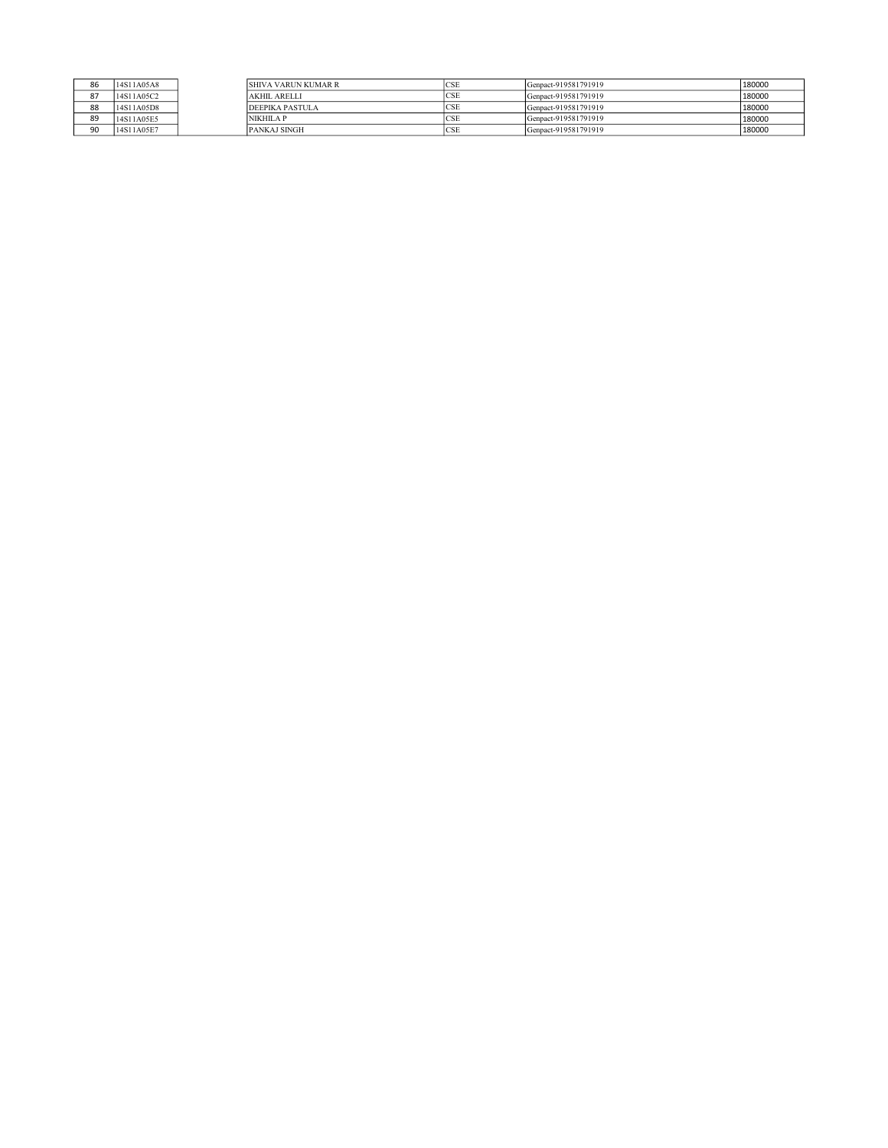| 86 | 14S11A05A8 | <b>SHIVA VARUN KUMAR R</b> | <b>ICSE</b> | Genpact-919581791919 | 180000 |
|----|------------|----------------------------|-------------|----------------------|--------|
| 87 | 14S11A05C2 | <b>AKHIL ARELLI</b>        | <b>CSE</b>  | Genpact-919581791919 | 180000 |
| 88 | 14S11A05D8 | <b>DEEPIKA PASTULA</b>     | <b>CSE</b>  | Genpact-919581791919 | 180000 |
| 89 | 14S11A05E5 | <b>NIKHILA P</b>           | <b>CSE</b>  | Genpact-919581791919 | 180000 |
| 90 | 14S11A05E7 | <b>PANKAJ SINGH</b>        | CSE         | Genpact-919581791919 | 180000 |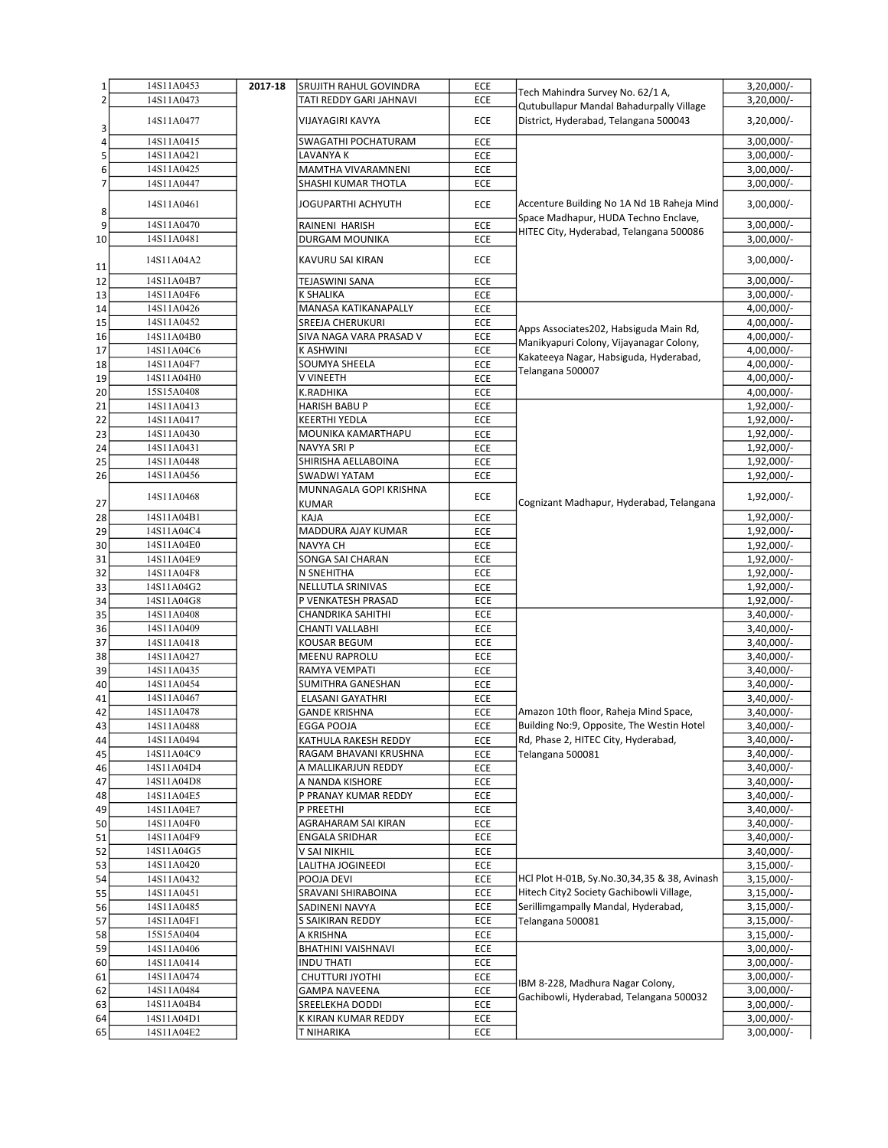| $\mathbf{1}$   | 14S11A0453 | 2017-18 | SRUJITH RAHUL GOVINDRA                 | ECE |                                              | $3,20,000/-$ |
|----------------|------------|---------|----------------------------------------|-----|----------------------------------------------|--------------|
| $\overline{2}$ | 14S11A0473 |         | TATI REDDY GARI JAHNAVI                | ECE | Tech Mahindra Survey No. 62/1 A,             | 3,20,000/-   |
|                |            |         |                                        |     | Qutubullapur Mandal Bahadurpally Village     |              |
| 3              | 14S11A0477 |         | <b>VIJAYAGIRI KAVYA</b>                | ECE | District, Hyderabad, Telangana 500043        | $3,20,000/-$ |
| 4              | 14S11A0415 |         | SWAGATHI POCHATURAM                    | ECE |                                              | $3,00,000/-$ |
| 5              | 14S11A0421 |         | LAVANYA K                              | ECE |                                              | $3,00,000/-$ |
| 6              | 14S11A0425 |         | MAMTHA VIVARAMNENI                     | ECE |                                              | 3,00,000/-   |
| $\overline{7}$ | 14S11A0447 |         | SHASHI KUMAR THOTLA                    | ECE |                                              | $3,00,000/-$ |
| 8              | 14S11A0461 |         | JOGUPARTHI ACHYUTH                     | ECE | Accenture Building No 1A Nd 1B Raheja Mind   | 3,00,000/-   |
| 9              | 14S11A0470 |         | <b>RAINENI HARISH</b>                  | ECE | Space Madhapur, HUDA Techno Enclave,         | $3,00,000/-$ |
| 10             | 14S11A0481 |         | DURGAM MOUNIKA                         | ECE | HITEC City, Hyderabad, Telangana 500086      | $3,00,000/-$ |
|                | 14S11A04A2 |         | KAVURU SAI KIRAN                       | ECE |                                              | $3,00,000/-$ |
| 11<br>12       | 14S11A04B7 |         | TEJASWINI SANA                         | ECE |                                              | $3,00,000/-$ |
| 13             | 14S11A04F6 |         | <b>K SHALIKA</b>                       | ECE |                                              | 3,00,000/-   |
| 14             | 14S11A0426 |         | MANASA KATIKANAPALLY                   | ECE |                                              | 4,00,000/-   |
|                | 14S11A0452 |         | SREEJA CHERUKURI                       | ECE |                                              | 4,00,000/-   |
| 15             | 14S11A04B0 |         |                                        |     | Apps Associates202, Habsiguda Main Rd,       | 4,00,000/-   |
| 16             |            |         | SIVA NAGA VARA PRASAD V                | ECE | Manikyapuri Colony, Vijayanagar Colony,      |              |
| 17             | 14S11A04C6 |         | <b>K ASHWINI</b>                       | ECE | Kakateeya Nagar, Habsiguda, Hyderabad,       | 4,00,000/-   |
| 18             | 14S11A04F7 |         | SOUMYA SHEELA                          | ECE | Telangana 500007                             | 4,00,000/-   |
| 19             | 14S11A04H0 |         | <b>V VINEETH</b>                       | ECE |                                              | 4,00,000/-   |
| 20             | 15S15A0408 |         | K.RADHIKA                              | ECE |                                              | 4,00,000/-   |
| 21             | 14S11A0413 |         | <b>HARISH BABU P</b>                   | ECE |                                              | 1,92,000/-   |
| 22             | 14S11A0417 |         | <b>KEERTHI YEDLA</b>                   | ECE |                                              | 1,92,000/-   |
| 23             | 14S11A0430 |         | MOUNIKA KAMARTHAPU                     | ECE |                                              | 1,92,000/-   |
| 24             | 14S11A0431 |         | NAVYA SRI P                            | ECE |                                              | 1,92,000/-   |
| 25             | 14S11A0448 |         | SHIRISHA AELLABOINA                    | ECE |                                              | 1,92,000/-   |
| 26             | 14S11A0456 |         | SWADWI YATAM                           | ECE |                                              | 1,92,000/-   |
| 27             | 14S11A0468 |         | MUNNAGALA GOPI KRISHNA<br><b>KUMAR</b> | ECE | Cognizant Madhapur, Hyderabad, Telangana     | 1,92,000/-   |
| 28             | 14S11A04B1 |         | KAJA                                   | ECE |                                              | 1,92,000/-   |
| 29             | 14S11A04C4 |         | MADDURA AJAY KUMAR                     | ECE |                                              | 1,92,000/-   |
| 30             | 14S11A04E0 |         | NAVYA CH                               | ECE |                                              | 1,92,000/-   |
| 31             | 14S11A04E9 |         | SONGA SAI CHARAN                       | ECE |                                              | 1,92,000/-   |
| 32             | 14S11A04F8 |         | N SNEHITHA                             | ECE |                                              | 1,92,000/-   |
| 33             | 14S11A04G2 |         | NELLUTLA SRINIVAS                      | ECE |                                              | 1,92,000/-   |
| 34             | 14S11A04G8 |         | P VENKATESH PRASAD                     | ECE |                                              | 1,92,000/-   |
| 35             | 14S11A0408 |         | CHANDRIKA SAHITHI                      | ECE |                                              | $3,40,000/-$ |
| 36             | 14S11A0409 |         | CHANTI VALLABHI                        | ECE |                                              | 3,40,000/-   |
| 37             | 14S11A0418 |         | KOUSAR BEGUM                           | ECE |                                              | $3,40,000/-$ |
| 38             | 14S11A0427 |         | <b>MEENU RAPROLU</b>                   | ECE |                                              | $3,40,000/-$ |
| 39             | 14S11A0435 |         | RAMYA VEMPATI                          | ECE |                                              | 3,40,000/-   |
| 40             | 14S11A0454 |         | SUMITHRA GANESHAN                      | ECE |                                              | $3,40,000/-$ |
| 41             | 14S11A0467 |         | ELASANI GAYATHRI                       | ECE |                                              | 3,40,000/-   |
| 42             | 14S11A0478 |         | <b>GANDE KRISHNA</b>                   | ECE | Amazon 10th floor, Raheja Mind Space,        | 3,40,000/-   |
| 43             | 14S11A0488 |         | <b>EGGA POOJA</b>                      | ECE | Building No:9, Opposite, The Westin Hotel    | 3,40,000/-   |
| 44             | 14S11A0494 |         | KATHULA RAKESH REDDY                   | ECE | Rd, Phase 2, HITEC City, Hyderabad,          | $3,40,000/-$ |
| 45             | 14S11A04C9 |         | RAGAM BHAVANI KRUSHNA                  | ECE | Telangana 500081                             | 3,40,000/-   |
| 46             | 14S11A04D4 |         | A MALLIKARJUN REDDY                    | ECE |                                              | 3,40,000/-   |
| 47             | 14S11A04D8 |         | A NANDA KISHORE                        | ECE |                                              | 3,40,000/-   |
| 48             | 14S11A04E5 |         | P PRANAY KUMAR REDDY                   | ECE |                                              | 3,40,000/-   |
| 49             | 14S11A04E7 |         | P PREETHI                              | ECE |                                              | $3,40,000/-$ |
| 50             | 14S11A04F0 |         | AGRAHARAM SAI KIRAN                    | ECE |                                              | $3,40,000/-$ |
| 51             | 14S11A04F9 |         | <b>ENGALA SRIDHAR</b>                  | ECE |                                              | 3,40,000/-   |
| 52             | 14S11A04G5 |         | V SAI NIKHIL                           | ECE |                                              | 3,40,000/-   |
| 53             | 14S11A0420 |         | LALITHA JOGINEEDI                      | ECE | HCl Plot H-01B, Sy.No.30,34,35 & 38, Avinash | $3,15,000/-$ |
| 54             | 14S11A0432 |         | POOJA DEVI                             | ECE |                                              | $3,15,000/-$ |
| 55             | 14S11A0451 |         | SRAVANI SHIRABOINA                     | ECE | Hitech City2 Society Gachibowli Village,     | $3,15,000/-$ |
| 56             | 14S11A0485 |         | SADINENI NAVYA                         | ECE | Serillimgampally Mandal, Hyderabad,          | 3,15,000/-   |
| 57             | 14S11A04F1 |         | S SAIKIRAN REDDY                       | ECE | Telangana 500081                             | 3,15,000/-   |
| 58             | 15S15A0404 |         | A KRISHNA                              | ECE |                                              | $3,15,000/-$ |
| 59             | 14S11A0406 |         | BHATHINI VAISHNAVI                     | ECE |                                              | $3,00,000/-$ |
| 60             | 14S11A0414 |         | <b>INDU THATI</b>                      | ECE |                                              | $3,00,000/-$ |
| 61             | 14S11A0474 |         | CHUTTURI JYOTHI                        | ECE | IBM 8-228, Madhura Nagar Colony,             | $3,00,000/-$ |
| 62             | 14S11A0484 |         | <b>GAMPA NAVEENA</b>                   | ECE | Gachibowli, Hyderabad, Telangana 500032      | $3,00,000/-$ |
| 63             | 14S11A04B4 |         | SREELEKHA DODDI                        | ECE |                                              | $3,00,000/-$ |
| 64             | 14S11A04D1 |         | K KIRAN KUMAR REDDY                    | ECE |                                              | $3,00,000/-$ |
| 65             | 14S11A04E2 |         | T NIHARIKA                             | ECE |                                              | 3,00,000/-   |